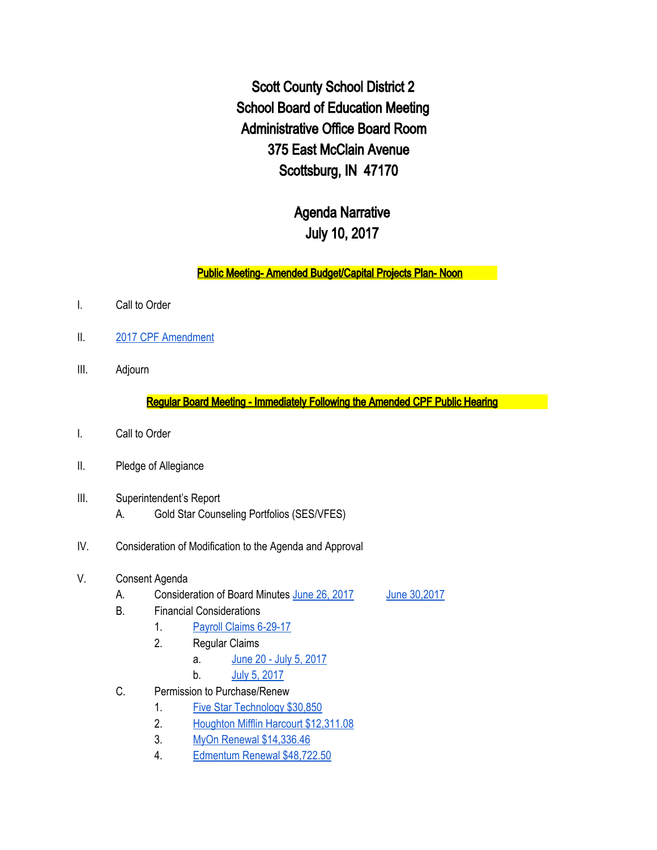Scott County School District 2 School Board of Education Meeting Administrative Office Board Room 375 East McClain Avenue Scottsburg, IN 47170

## Agenda Narrative July 10, 2017

## Public Meeting- Amended Budget/Capital Projects Plan- Noon

- I. Call to Order
- II. 2017 CPF [Amendment](https://drive.google.com/file/d/0BxXvxnGh3EX1aFNaN2gtN1h6SnFMZDdlVmxEc0F2a1lEUVY4/view)
- III. Adjourn

Regular Board Meeting - Immediately Following the Amended CPF Public Hearing

- I. Call to Order
- II. Pledge of Allegiance
- III. Superintendent's Report
	- A. Gold Star Counseling Portfolios (SES/VFES)
- IV. Consideration of Modification to the Agenda and Approval
- V. Consent Agenda
	- A. Consideration of Board Minutes June 26, [2017](https://docs.google.com/document/d/1Xa6adVf9p5IwgkmEXkpbrWz83lnEZ53v8BuSumc5-zc/edit) June 30, 2017
		-
- B. Financial Considerations
	- 1. Payroll Claims [6-29-17](https://drive.google.com/file/d/0BxXvxnGh3EX1eEgzMFRrQ2pkLXlpaG0zUzdtdGladWhIMU93/view)
	- 2. Regular Claims
		- a. June 20 July 5, [2017](https://drive.google.com/file/d/0BxXvxnGh3EX1Z2l6NXEwR0JtWVlCZVdndlBUeU9ad2NYMWJ3/view)
		- b. July 5, [2017](https://drive.google.com/file/d/0BxXvxnGh3EX1Y3kwdFA0Tkg3dEhBeklMdlNtdmdlX2VHQkNN/view)
- C. Permission to Purchase/Renew
	- 1. Five Star [Technology](https://drive.google.com/file/d/0BxXvxnGh3EX1TDlrcHlXTFFTUzVRVU1jUjQ5eUIzWUN5UnJJ/view) \$30,850
	- 2. Houghton Mifflin Harcourt [\\$12,311.08](https://drive.google.com/file/d/0BxXvxnGh3EX1MHpsWUR4QUxzazBtMGdkQ2x2RlNnZXZGMGM4/view)
	- 3. MyOn Renewal [\\$14,336.46](https://drive.google.com/file/d/0BxXvxnGh3EX1bnBLdHVmVTNScW5TbXFDTS1oek5XT09vOS1N/view)
	- 4. Edmentum Renewal [\\$48,722.50](https://drive.google.com/file/d/0BxXvxnGh3EX1NkozdzdtV3dPNUlfQXNNQ1ZVajJCME5EVGRJ/view)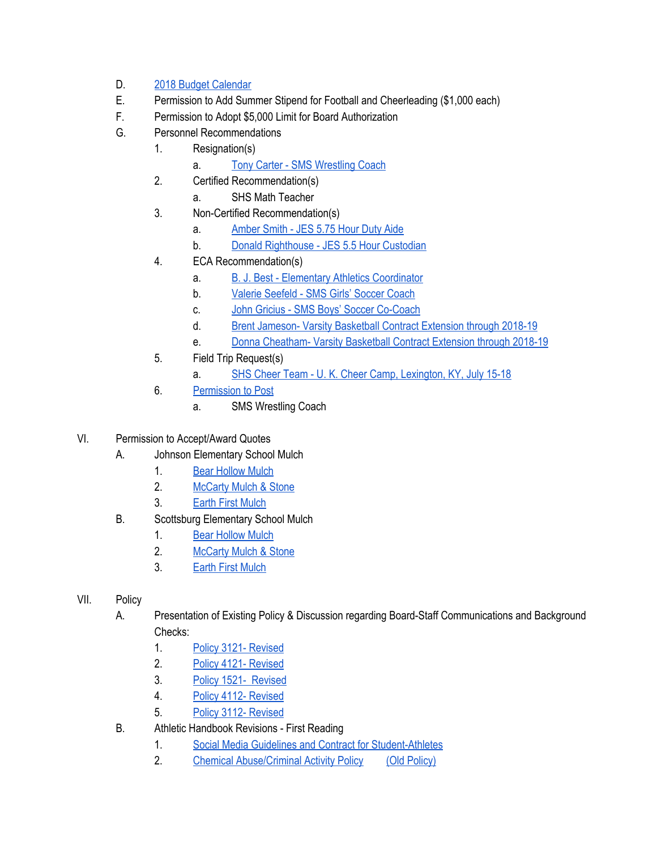## D. 2018 Budget [Calendar](https://drive.google.com/file/d/0BxXvxnGh3EX1cWZIV3ZNaGV0S1o2bjQzbUVYc3FpRmxiTlhF/view)

- E. Permission to Add Summer Stipend for Football and Cheerleading (\$1,000 each)
- F. Permission to Adopt \$5,000 Limit for Board Authorization
- G. Personnel Recommendations
	- 1. Resignation(s)
		- a. Tony Carter SMS [Wrestling](https://drive.google.com/file/d/0BxXvxnGh3EX1bjdBY19xVFlNd0JVYVQ5aHpueEU4TlFoQkdr/view) Coach
	- 2. Certified Recommendation(s)
		- a. SHS Math Teacher
	- 3. Non-Certified Recommendation(s)
		- a. [Amber](https://drive.google.com/file/d/0BxXvxnGh3EX1OU9OaXdZRDNOUzlkbEFoYlE1RXNRR3dBYkFV/view) Smith JES 5.75 Hour Duty Aide
		- b. Donald [Righthouse](https://drive.google.com/file/d/0BxXvxnGh3EX1SFdQU01yQ0dFY1hmYVdjdDFZd2R5dmZ3SUZr/view) JES 5.5 Hour Custodian
	- 4. ECA Recommendation(s)
		- a. **B. J. Best Elementary Athletics [Coordinator](https://drive.google.com/file/d/0BxXvxnGh3EX1UWFiOFRQRFFHclMxcHV6NGxVdjBaQWVKTE1N/view)**
		- b. Valerie [Seefeld](https://drive.google.com/file/d/0BxXvxnGh3EX1RzBrUVlQN25QVUVVXzVFVmtMc0FEM0pTaXNn/view) SMS Girls' Soccer Coach
		- c. John Gricius SMS Boys' Soccer [Co-Coach](https://drive.google.com/file/d/0BxXvxnGh3EX1MmZUeWxkX21rRG4xM29rczRPWGZoNldGX3Fr/view)
		- d. Brent Jameson- Varsity [Basketball](https://drive.google.com/file/d/0BxXvxnGh3EX1Vy10QXhWUUFVU0RyLW4yWHd0YlppSlJ0UF9z/view) Contract Extension through 2018-19
		- e. **Donna [Cheatham-](https://drive.google.com/file/d/0BxXvxnGh3EX1VklmMy1VWXN0cGhHLVZBVmpubVdROEpUaUVv/view) Varsity Basketball Contract Extension through 2018-19**
	- 5. Field Trip Request(s)
		- a. SHS Cheer Team U. K. Cheer Camp, [Lexington,](https://drive.google.com/file/d/0BxXvxnGh3EX1OHQxbXFfNzQ4N0p2U0lQREdvVndDVFA3b0VR/view) KY, July 15-18
	- 6. [Permission](https://docs.google.com/document/d/1WiJg3rPq_pxcnCfpijWZHOrD_uSek4eFsrPXJxUm_8o/edit) to Post
		- a. SMS Wrestling Coach
- VI. Permission to Accept/Award Quotes
	- A. Johnson Elementary School Mulch
		- 1. Bear [Hollow](https://drive.google.com/file/d/0BxXvxnGh3EX1N0dLZWpYTng0YnRja081cmFDMEozaWVHdm1r/view) Mulch
		- 2. [McCarty](https://drive.google.com/file/d/0BxXvxnGh3EX1SGZpNmNLSW9icTNtTTVxZ1BLMzdWVmpJN3Rz/view) Mulch & Stone
		- 3. Earth First [Mulch](https://drive.google.com/file/d/0BxXvxnGh3EX1NGhUc1pYUEE2UTJxbm55MVhCY3Zaa1V0MHA4/view)
	- B. Scottsburg Elementary School Mulch
		- 1. Bear [Hollow](https://drive.google.com/file/d/0BxXvxnGh3EX1UG10XzNUMUJ4YXNvRE5FVllUN25Yd3FLNElF/view) Mulch
		- 2. [McCarty](https://drive.google.com/file/d/0BxXvxnGh3EX1azZCa0pYOVE2WGFvdTUzb2hDelVoRUpoWDlZ/view) Mulch & Stone
		- 3. Earth First [Mulch](https://drive.google.com/file/d/0BxXvxnGh3EX1NTdESW43SnJxOW45dUo3blpoNnpSNzJFRXE0/view)
- VII. Policy
	- A. Presentation of Existing Policy & Discussion regarding Board-Staff Communications and Background Checks:
		- 1. Policy 3121- [Revised](https://docs.google.com/a/scsd2.k12.in.us/document/d/1C1vueb1ScC8KDX41XkweYiLbdfiGCLwUAIyHjpuA_2Q/edit?usp=sharing)
		- 2. Policy 4121- [Revised](https://docs.google.com/a/scsd2.k12.in.us/document/d/1O0pDrNqmfbc7G3vL3UcWln7dqLLKsLcgzzRIlaQiLSs/edit?usp=sharing)
		- 3. Policy 1521- [Revised](https://docs.google.com/a/scsd2.k12.in.us/document/d/1KpZlEDCqLsvgd7UpF7gFN8m9PhUefw3Ws7kPlbpNYvw/edit?usp=sharing)
		- 4. Policy 4112- [Revised](https://docs.google.com/a/scsd2.k12.in.us/document/d/1XROVVrUxKZmPsNeQV1lGRApRnKfHKqMFsal53Sm6RbY/edit?usp=sharing)
		- 5. Policy 3112- [Revised](https://docs.google.com/a/scsd2.k12.in.us/document/d/1OO7F6dGTbhtID94RsYVOwjKXzPSiSd1bTbmgQBDbDP0/edit?usp=sharing)
	- B. Athletic Handbook Revisions First Reading
		- 1. Social Media Guidelines and Contract for [Student-Athletes](https://drive.google.com/file/d/0BxXvxnGh3EX1YklrWnpqVUc1WUMtWk1URnBYT3VOSDQzSFEw/view)
		- 2. Chemical [Abuse/Criminal](https://drive.google.com/file/d/0BxXvxnGh3EX1aDRLWTdOV1pNajVhUFlFSnYzZEhtdUFoMVRF/view) Activity Policy (Old [Policy\)](https://drive.google.com/file/d/0BxXvxnGh3EX1cVlkalNKaFQ0U1FQS1dvSm42aEJDN0thUDVB/view)